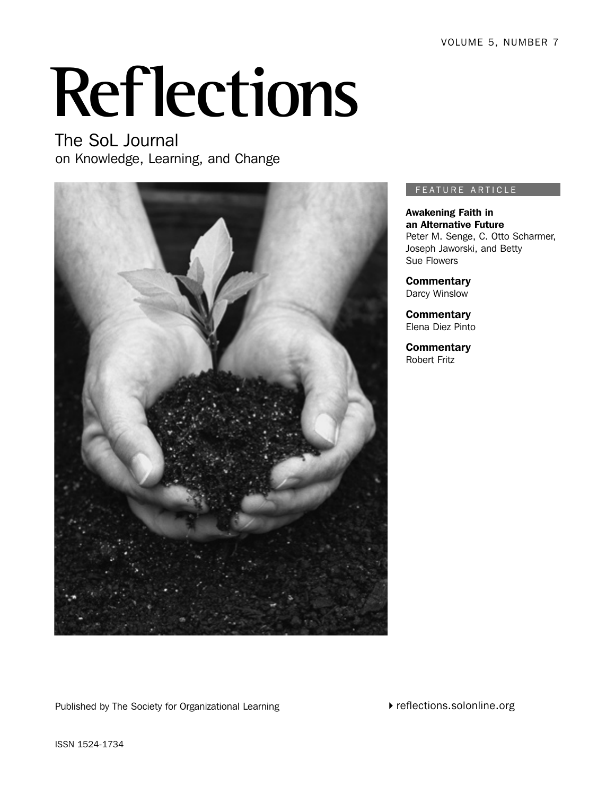VOLUME 5, NUMBER 7

# **Reflections**

The SoL Journal on Knowledge, Learning, and Change



# FEATURE ARTICLE

Awakening Faith in an Alternative Future Peter M. Senge, C. Otto Scharmer, Joseph Jaworski, and Betty Sue Flowers

**Commentary** Darcy Winslow

**Commentary** Elena Diez Pinto

**Commentary** Robert Fritz

Published by The Society for Organizational Learning

▶ reflections.solonline.org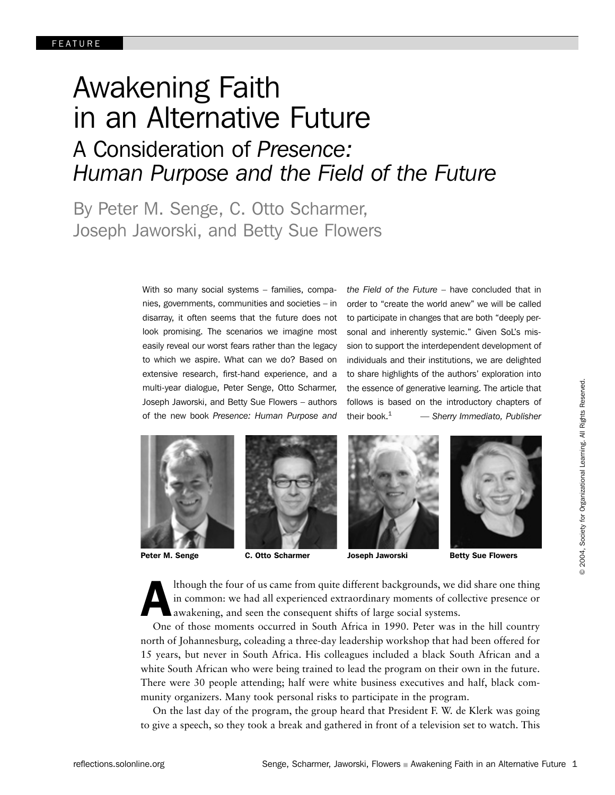# Awakening Faith in an Alternative Future A Consideration of *Presence: Human Purpose and the Field of the Future*

By Peter M. Senge, C. Otto Scharmer, Joseph Jaworski, and Betty Sue Flowers

> With so many social systems – families, companies, governments, communities and societies – in disarray, it often seems that the future does not look promising. The scenarios we imagine most easily reveal our worst fears rather than the legacy to which we aspire. What can we do? Based on extensive research, first-hand experience, and a multi-year dialogue, Peter Senge, Otto Scharmer, Joseph Jaworski, and Betty Sue Flowers – authors of the new book *Presence: Human Purpose and*

*the Field of the Future* – have concluded that in order to "create the world anew" we will be called to participate in changes that are both "deeply personal and inherently systemic." Given SoL's mission to support the interdependent development of individuals and their institutions, we are delighted to share highlights of the authors' exploration into the essence of generative learning. The article that follows is based on the introductory chapters of their book. $1$ *— Sherry Immediato, Publisher*









Peter M. Senge C. Otto Scharmer Joseph Jaworski Betty Sue Flowers

lthough the four of us came from quite different backgrounds, we did share one thing in common: we had all experienced extraordinary moments of collective presence or awakening, and seen the consequent shifts of large social systems. A

One of those moments occurred in South Africa in 1990. Peter was in the hill country north of Johannesburg, coleading a three-day leadership workshop that had been offered for 15 years, but never in South Africa. His colleagues included a black South African and a white South African who were being trained to lead the program on their own in the future. There were 30 people attending; half were white business executives and half, black community organizers. Many took personal risks to participate in the program.

On the last day of the program, the group heard that President F. W. de Klerk was going to give a speech, so they took a break and gathered in front of a television set to watch. This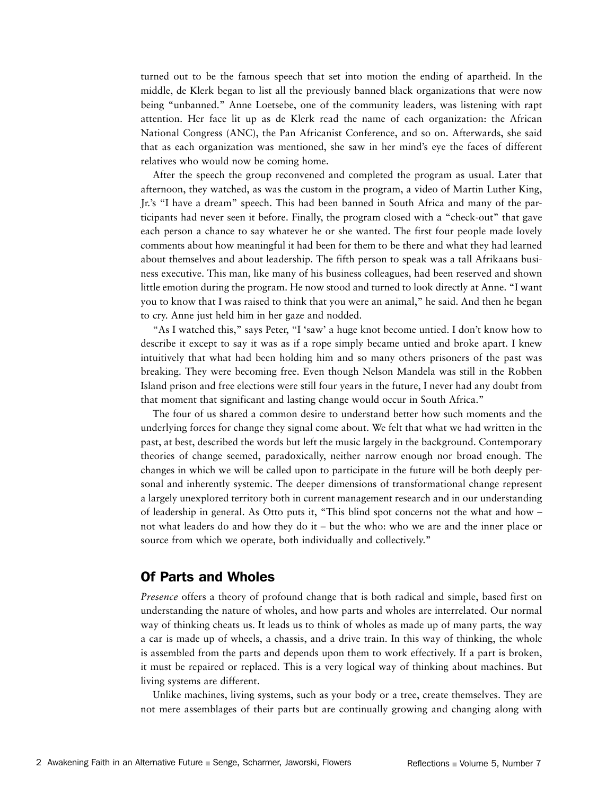turned out to be the famous speech that set into motion the ending of apartheid. In the middle, de Klerk began to list all the previously banned black organizations that were now being "unbanned." Anne Loetsebe, one of the community leaders, was listening with rapt attention. Her face lit up as de Klerk read the name of each organization: the African National Congress (ANC), the Pan Africanist Conference, and so on. Afterwards, she said that as each organization was mentioned, she saw in her mind's eye the faces of different relatives who would now be coming home.

After the speech the group reconvened and completed the program as usual. Later that afternoon, they watched, as was the custom in the program, a video of Martin Luther King, Jr.'s "I have a dream" speech. This had been banned in South Africa and many of the participants had never seen it before. Finally, the program closed with a "check-out" that gave each person a chance to say whatever he or she wanted. The first four people made lovely comments about how meaningful it had been for them to be there and what they had learned about themselves and about leadership. The fifth person to speak was a tall Afrikaans business executive. This man, like many of his business colleagues, had been reserved and shown little emotion during the program. He now stood and turned to look directly at Anne. "I want you to know that I was raised to think that you were an animal," he said. And then he began to cry. Anne just held him in her gaze and nodded.

"As I watched this," says Peter, "I 'saw' a huge knot become untied. I don't know how to describe it except to say it was as if a rope simply became untied and broke apart. I knew intuitively that what had been holding him and so many others prisoners of the past was breaking. They were becoming free. Even though Nelson Mandela was still in the Robben Island prison and free elections were still four years in the future, I never had any doubt from that moment that significant and lasting change would occur in South Africa."

The four of us shared a common desire to understand better how such moments and the underlying forces for change they signal come about. We felt that what we had written in the past, at best, described the words but left the music largely in the background. Contemporary theories of change seemed, paradoxically, neither narrow enough nor broad enough. The changes in which we will be called upon to participate in the future will be both deeply personal and inherently systemic. The deeper dimensions of transformational change represent a largely unexplored territory both in current management research and in our understanding of leadership in general. As Otto puts it, "This blind spot concerns not the what and how – not what leaders do and how they do it – but the who: who we are and the inner place or source from which we operate, both individually and collectively."

# Of Parts and Wholes

*Presence* offers a theory of profound change that is both radical and simple, based first on understanding the nature of wholes, and how parts and wholes are interrelated. Our normal way of thinking cheats us. It leads us to think of wholes as made up of many parts, the way a car is made up of wheels, a chassis, and a drive train. In this way of thinking, the whole is assembled from the parts and depends upon them to work effectively. If a part is broken, it must be repaired or replaced. This is a very logical way of thinking about machines. But living systems are different.

Unlike machines, living systems, such as your body or a tree, create themselves. They are not mere assemblages of their parts but are continually growing and changing along with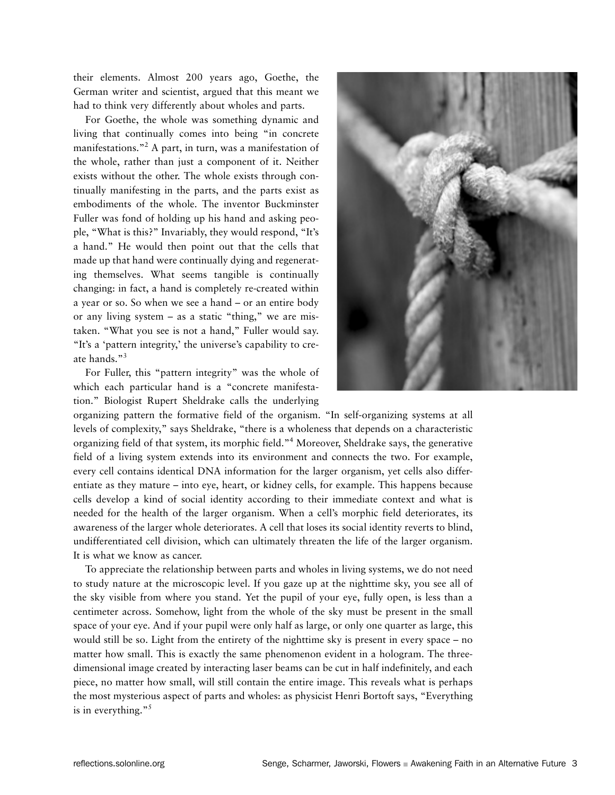their elements. Almost 200 years ago, Goethe, the German writer and scientist, argued that this meant we had to think very differently about wholes and parts.

For Goethe, the whole was something dynamic and living that continually comes into being "in concrete manifestations."<sup>2</sup> A part, in turn, was a manifestation of the whole, rather than just a component of it. Neither exists without the other. The whole exists through continually manifesting in the parts, and the parts exist as embodiments of the whole. The inventor Buckminster Fuller was fond of holding up his hand and asking people, "What is this?" Invariably, they would respond, "It's a hand." He would then point out that the cells that made up that hand were continually dying and regenerating themselves. What seems tangible is continually changing: in fact, a hand is completely re-created within a year or so. So when we see a hand – or an entire body or any living system  $-$  as a static "thing," we are mistaken. "What you see is not a hand," Fuller would say. "It's a 'pattern integrity,' the universe's capability to create hands."3

For Fuller, this "pattern integrity" was the whole of which each particular hand is a "concrete manifestation." Biologist Rupert Sheldrake calls the underlying



organizing pattern the formative field of the organism. "In self-organizing systems at all levels of complexity," says Sheldrake, "there is a wholeness that depends on a characteristic organizing field of that system, its morphic field."<sup>4</sup> Moreover, Sheldrake says, the generative field of a living system extends into its environment and connects the two. For example, every cell contains identical DNA information for the larger organism, yet cells also differentiate as they mature – into eye, heart, or kidney cells, for example. This happens because cells develop a kind of social identity according to their immediate context and what is needed for the health of the larger organism. When a cell's morphic field deteriorates, its awareness of the larger whole deteriorates. A cell that loses its social identity reverts to blind, undifferentiated cell division, which can ultimately threaten the life of the larger organism. It is what we know as cancer.

To appreciate the relationship between parts and wholes in living systems, we do not need to study nature at the microscopic level. If you gaze up at the nighttime sky, you see all of the sky visible from where you stand. Yet the pupil of your eye, fully open, is less than a centimeter across. Somehow, light from the whole of the sky must be present in the small space of your eye. And if your pupil were only half as large, or only one quarter as large, this would still be so. Light from the entirety of the nighttime sky is present in every space – no matter how small. This is exactly the same phenomenon evident in a hologram. The threedimensional image created by interacting laser beams can be cut in half indefinitely, and each piece, no matter how small, will still contain the entire image. This reveals what is perhaps the most mysterious aspect of parts and wholes: as physicist Henri Bortoft says, "Everything is in everything."<sup>5</sup>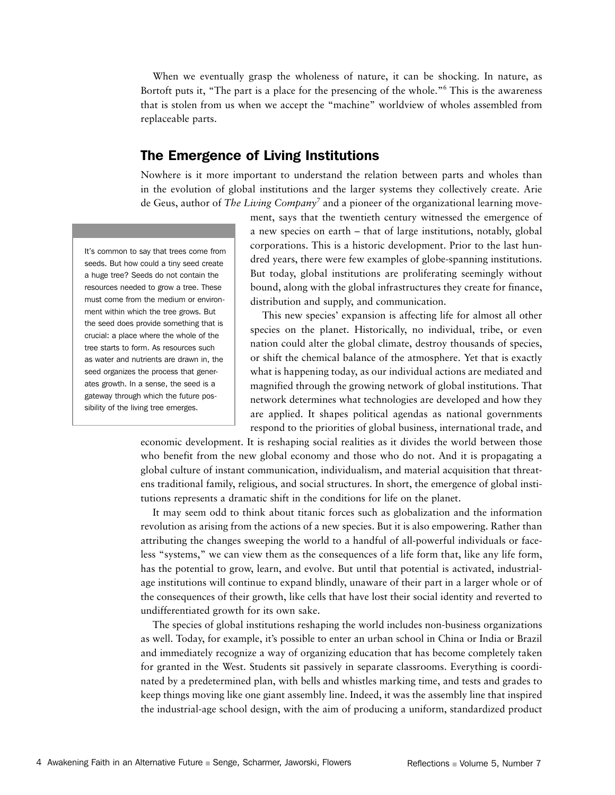When we eventually grasp the wholeness of nature, it can be shocking. In nature, as Bortoft puts it, "The part is a place for the presencing of the whole."<sup>6</sup> This is the awareness that is stolen from us when we accept the "machine" worldview of wholes assembled from replaceable parts.

# The Emergence of Living Institutions

Nowhere is it more important to understand the relation between parts and wholes than in the evolution of global institutions and the larger systems they collectively create. Arie de Geus, author of *The Living Company<sup>7</sup>* and a pioneer of the organizational learning move-

It's common to say that trees come from seeds. But how could a tiny seed create a huge tree? Seeds do not contain the resources needed to grow a tree. These must come from the medium or environment within which the tree grows. But the seed does provide something that is crucial: a place where the whole of the tree starts to form. As resources such as water and nutrients are drawn in, the seed organizes the process that generates growth. In a sense, the seed is a gateway through which the future possibility of the living tree emerges.

ment, says that the twentieth century witnessed the emergence of a new species on earth – that of large institutions, notably, global corporations. This is a historic development. Prior to the last hundred years, there were few examples of globe-spanning institutions. But today, global institutions are proliferating seemingly without bound, along with the global infrastructures they create for finance, distribution and supply, and communication.

This new species' expansion is affecting life for almost all other species on the planet. Historically, no individual, tribe, or even nation could alter the global climate, destroy thousands of species, or shift the chemical balance of the atmosphere. Yet that is exactly what is happening today, as our individual actions are mediated and magnified through the growing network of global institutions. That network determines what technologies are developed and how they are applied. It shapes political agendas as national governments respond to the priorities of global business, international trade, and

economic development. It is reshaping social realities as it divides the world between those who benefit from the new global economy and those who do not. And it is propagating a global culture of instant communication, individualism, and material acquisition that threatens traditional family, religious, and social structures. In short, the emergence of global institutions represents a dramatic shift in the conditions for life on the planet.

It may seem odd to think about titanic forces such as globalization and the information revolution as arising from the actions of a new species. But it is also empowering. Rather than attributing the changes sweeping the world to a handful of all-powerful individuals or faceless "systems," we can view them as the consequences of a life form that, like any life form, has the potential to grow, learn, and evolve. But until that potential is activated, industrialage institutions will continue to expand blindly, unaware of their part in a larger whole or of the consequences of their growth, like cells that have lost their social identity and reverted to undifferentiated growth for its own sake.

The species of global institutions reshaping the world includes non-business organizations as well. Today, for example, it's possible to enter an urban school in China or India or Brazil and immediately recognize a way of organizing education that has become completely taken for granted in the West. Students sit passively in separate classrooms. Everything is coordinated by a predetermined plan, with bells and whistles marking time, and tests and grades to keep things moving like one giant assembly line. Indeed, it was the assembly line that inspired the industrial-age school design, with the aim of producing a uniform, standardized product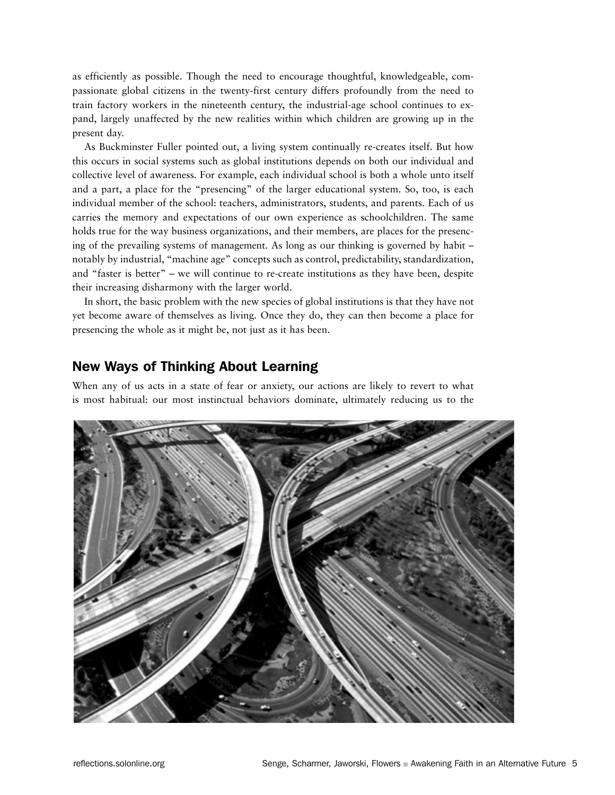as efficiently as possible. Though the need to encourage thoughtful, knowledgeable, compassionate global citizens in the twenty-first century differs profoundly from the need to train factory workers in the nineteenth century, the industrial-age school continues to expand, largely unaffected by the new realities within which children are growing up in the present day.

As Buckminster Fuller pointed out, a living system continually re-creates itself. But how this occurs in social systems such as global institutions depends on both our individual and collective level of awareness. For example, each individual school is both a whole unto itself and a part, a place for the "presencing" of the larger educational system. So, too, is each individual member of the school: teachers, administrators, students, and parents. Each of us carries the memory and expectations of our own experience as schoolchildren. The same holds true for the way business organizations, and their members, are places for the presencing of the prevailing systems of management. As long as our thinking is governed by habit – notably by industrial, "machine age" concepts such as control, predictability, standardization, and "faster is better" – we will continue to re-create institutions as they have been, despite their increasing disharmony with the larger world.

In short, the basic problem with the new species of global institutions is that they have not yet become aware of themselves as living. Once they do, they can then become a place for presencing the whole as it might be, not just as it has been.

# New Ways of Thinking About Learning

When any of us acts in a state of fear or anxiety, our actions are likely to revert to what is most habitual: our most instinctual behaviors dominate, ultimately reducing us to the

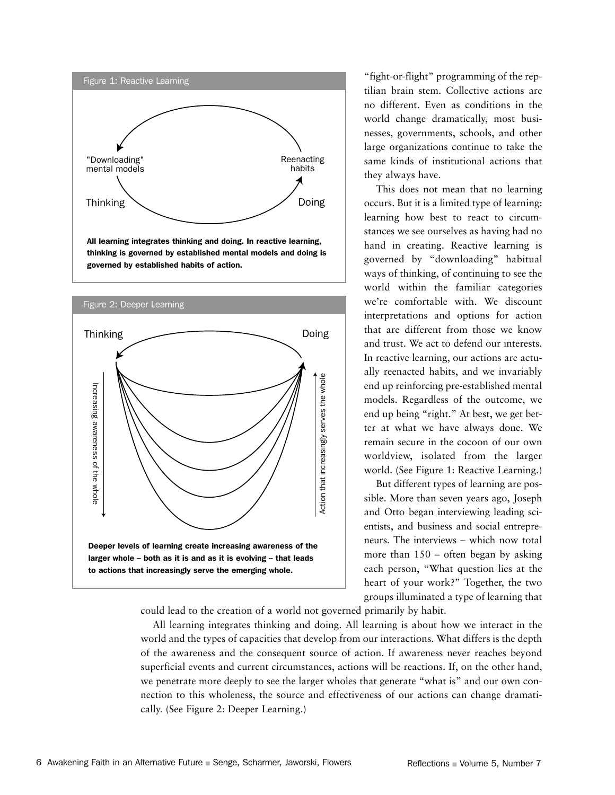

Figure 2: Deeper Learning Thinking Doing Doing Increase who are the whole Action that increases the whole Action that is a contract of the whole that is a contract of the whole that is a contract of the Way of the Way of the Way of the Way of the Way of the Way of the Deeper levels of learning create increasing awareness of the larger whole – both as it is and as it is evolving – that leads to actions that increasingly serve the emerging whole.

"fight-or-flight" programming of the reptilian brain stem. Collective actions are no different. Even as conditions in the world change dramatically, most businesses, governments, schools, and other large organizations continue to take the same kinds of institutional actions that they always have.

This does not mean that no learning occurs. But it is a limited type of learning: learning how best to react to circumstances we see ourselves as having had no hand in creating. Reactive learning is governed by "downloading" habitual ways of thinking, of continuing to see the world within the familiar categories we're comfortable with. We discount interpretations and options for action that are different from those we know and trust. We act to defend our interests. In reactive learning, our actions are actually reenacted habits, and we invariably end up reinforcing pre-established mental models. Regardless of the outcome, we end up being "right." At best, we get better at what we have always done. We remain secure in the cocoon of our own worldview, isolated from the larger world. (See Figure 1: Reactive Learning.)

But different types of learning are possible. More than seven years ago, Joseph and Otto began interviewing leading scientists, and business and social entrepreneurs. The interviews – which now total more than 150 – often began by asking each person, "What question lies at the heart of your work?" Together, the two groups illuminated a type of learning that

could lead to the creation of a world not governed primarily by habit.

All learning integrates thinking and doing. All learning is about how we interact in the world and the types of capacities that develop from our interactions. What differs is the depth of the awareness and the consequent source of action. If awareness never reaches beyond superficial events and current circumstances, actions will be reactions. If, on the other hand, we penetrate more deeply to see the larger wholes that generate "what is" and our own connection to this wholeness, the source and effectiveness of our actions can change dramatically. (See Figure 2: Deeper Learning.)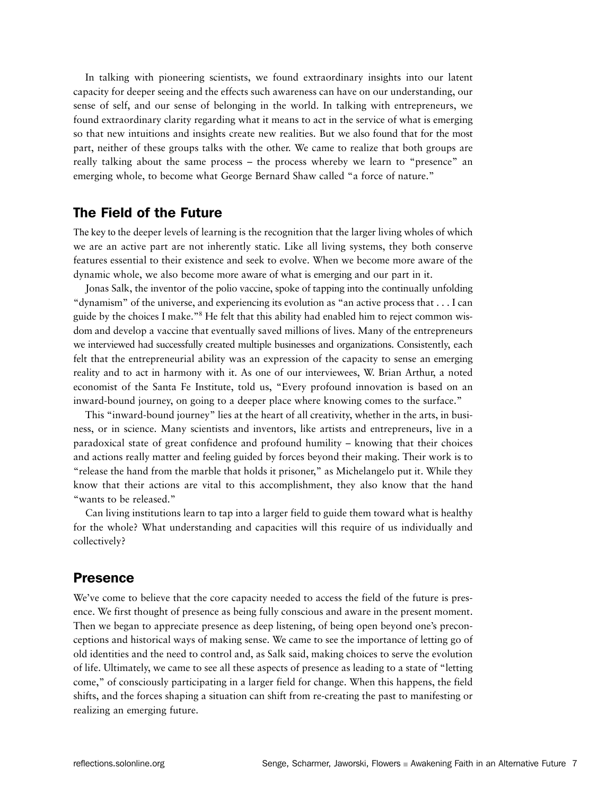In talking with pioneering scientists, we found extraordinary insights into our latent capacity for deeper seeing and the effects such awareness can have on our understanding, our sense of self, and our sense of belonging in the world. In talking with entrepreneurs, we found extraordinary clarity regarding what it means to act in the service of what is emerging so that new intuitions and insights create new realities. But we also found that for the most part, neither of these groups talks with the other. We came to realize that both groups are really talking about the same process – the process whereby we learn to "presence" an emerging whole, to become what George Bernard Shaw called "a force of nature."

# The Field of the Future

The key to the deeper levels of learning is the recognition that the larger living wholes of which we are an active part are not inherently static. Like all living systems, they both conserve features essential to their existence and seek to evolve. When we become more aware of the dynamic whole, we also become more aware of what is emerging and our part in it.

Jonas Salk, the inventor of the polio vaccine, spoke of tapping into the continually unfolding "dynamism" of the universe, and experiencing its evolution as "an active process that . . . I can guide by the choices I make."<sup>8</sup> He felt that this ability had enabled him to reject common wisdom and develop a vaccine that eventually saved millions of lives. Many of the entrepreneurs we interviewed had successfully created multiple businesses and organizations. Consistently, each felt that the entrepreneurial ability was an expression of the capacity to sense an emerging reality and to act in harmony with it. As one of our interviewees, W. Brian Arthur, a noted economist of the Santa Fe Institute, told us, "Every profound innovation is based on an inward-bound journey, on going to a deeper place where knowing comes to the surface."

This "inward-bound journey" lies at the heart of all creativity, whether in the arts, in business, or in science. Many scientists and inventors, like artists and entrepreneurs, live in a paradoxical state of great confidence and profound humility – knowing that their choices and actions really matter and feeling guided by forces beyond their making. Their work is to "release the hand from the marble that holds it prisoner," as Michelangelo put it. While they know that their actions are vital to this accomplishment, they also know that the hand "wants to be released."

Can living institutions learn to tap into a larger field to guide them toward what is healthy for the whole? What understanding and capacities will this require of us individually and collectively?

# Presence

We've come to believe that the core capacity needed to access the field of the future is presence. We first thought of presence as being fully conscious and aware in the present moment. Then we began to appreciate presence as deep listening, of being open beyond one's preconceptions and historical ways of making sense. We came to see the importance of letting go of old identities and the need to control and, as Salk said, making choices to serve the evolution of life. Ultimately, we came to see all these aspects of presence as leading to a state of "letting come," of consciously participating in a larger field for change. When this happens, the field shifts, and the forces shaping a situation can shift from re-creating the past to manifesting or realizing an emerging future.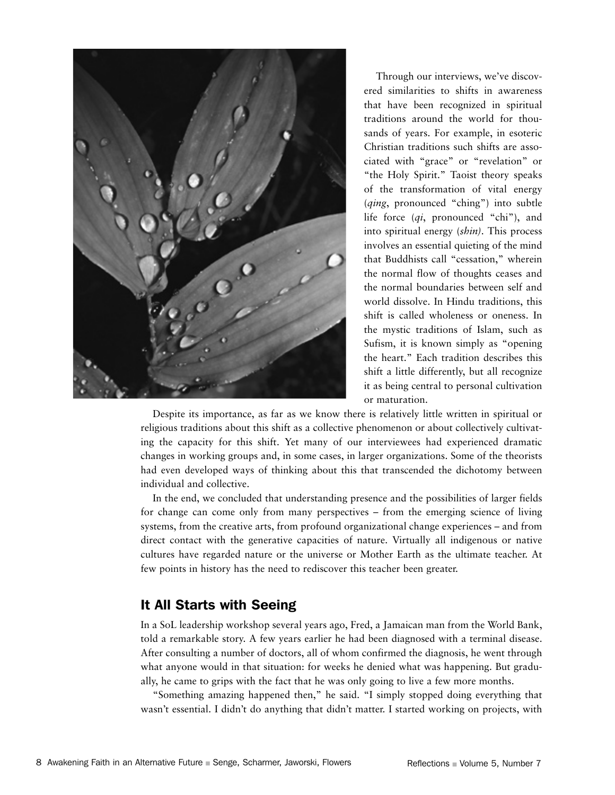

Through our interviews, we've discovered similarities to shifts in awareness that have been recognized in spiritual traditions around the world for thousands of years. For example, in esoteric Christian traditions such shifts are associated with "grace" or "revelation" or "the Holy Spirit." Taoist theory speaks of the transformation of vital energy (*qing*, pronounced "ching") into subtle life force (*qi*, pronounced "chi"), and into spiritual energy (*shin)*. This process involves an essential quieting of the mind that Buddhists call "cessation," wherein the normal flow of thoughts ceases and the normal boundaries between self and world dissolve. In Hindu traditions, this shift is called wholeness or oneness. In the mystic traditions of Islam, such as Sufism, it is known simply as "opening the heart." Each tradition describes this shift a little differently, but all recognize it as being central to personal cultivation or maturation.

Despite its importance, as far as we know there is relatively little written in spiritual or religious traditions about this shift as a collective phenomenon or about collectively cultivating the capacity for this shift. Yet many of our interviewees had experienced dramatic changes in working groups and, in some cases, in larger organizations. Some of the theorists had even developed ways of thinking about this that transcended the dichotomy between individual and collective.

In the end, we concluded that understanding presence and the possibilities of larger fields for change can come only from many perspectives – from the emerging science of living systems, from the creative arts, from profound organizational change experiences – and from direct contact with the generative capacities of nature. Virtually all indigenous or native cultures have regarded nature or the universe or Mother Earth as the ultimate teacher. At few points in history has the need to rediscover this teacher been greater.

# It All Starts with Seeing

In a SoL leadership workshop several years ago, Fred, a Jamaican man from the World Bank, told a remarkable story. A few years earlier he had been diagnosed with a terminal disease. After consulting a number of doctors, all of whom confirmed the diagnosis, he went through what anyone would in that situation: for weeks he denied what was happening. But gradually, he came to grips with the fact that he was only going to live a few more months.

"Something amazing happened then," he said. "I simply stopped doing everything that wasn't essential. I didn't do anything that didn't matter. I started working on projects, with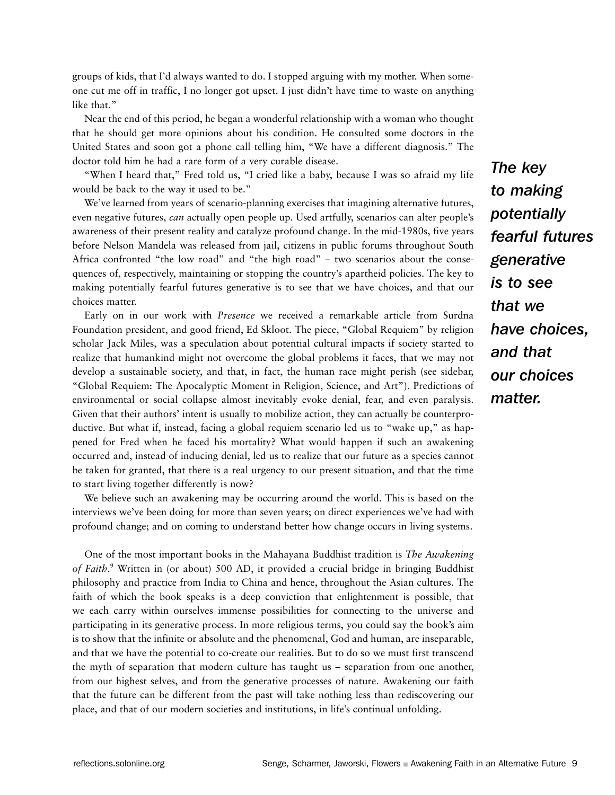groups of kids, that I'd always wanted to do. I stopped arguing with my mother. When someone cut me off in traffic, I no longer got upset. I just didn't have time to waste on anything like that."

Near the end of this period, he began a wonderful relationship with a woman who thought that he should get more opinions about his condition. He consulted some doctors in the United States and soon got a phone call telling him, "We have a different diagnosis." The doctor told him he had a rare form of a very curable disease.

"When I heard that," Fred told us, "I cried like a baby, because I was so afraid my life would be back to the way it used to be."

We've learned from years of scenario-planning exercises that imagining alternative futures, even negative futures, *can* actually open people up. Used artfully, scenarios can alter people's awareness of their present reality and catalyze profound change. In the mid-1980s, five years before Nelson Mandela was released from jail, citizens in public forums throughout South Africa confronted "the low road" and "the high road" – two scenarios about the consequences of, respectively, maintaining or stopping the country's apartheid policies. The key to making potentially fearful futures generative is to see that we have choices, and that our choices matter.

Early on in our work with *Presence* we received a remarkable article from Surdna Foundation president, and good friend, Ed Skloot. The piece, "Global Requiem" by religion scholar Jack Miles, was a speculation about potential cultural impacts if society started to realize that humankind might not overcome the global problems it faces, that we may not develop a sustainable society, and that, in fact, the human race might perish (see sidebar, "Global Requiem: The Apocalyptic Moment in Religion, Science, and Art"). Predictions of environmental or social collapse almost inevitably evoke denial, fear, and even paralysis. Given that their authors' intent is usually to mobilize action, they can actually be counterproductive. But what if, instead, facing a global requiem scenario led us to "wake up," as happened for Fred when he faced his mortality? What would happen if such an awakening occurred and, instead of inducing denial, led us to realize that our future as a species cannot be taken for granted, that there is a real urgency to our present situation, and that the time to start living together differently is now?

We believe such an awakening may be occurring around the world. This is based on the interviews we've been doing for more than seven years; on direct experiences we've had with profound change; and on coming to understand better how change occurs in living systems.

One of the most important books in the Mahayana Buddhist tradition is *The Awakening of Faith*. 9 Written in (or about) 500 AD, it provided a crucial bridge in bringing Buddhist philosophy and practice from India to China and hence, throughout the Asian cultures. The faith of which the book speaks is a deep conviction that enlightenment is possible, that we each carry within ourselves immense possibilities for connecting to the universe and participating in its generative process. In more religious terms, you could say the book's aim is to show that the infinite or absolute and the phenomenal, God and human, are inseparable, and that we have the potential to co-create our realities. But to do so we must first transcend the myth of separation that modern culture has taught us – separation from one another, from our highest selves, and from the generative processes of nature. Awakening our faith that the future can be different from the past will take nothing less than rediscovering our place, and that of our modern societies and institutions, in life's continual unfolding.

*The key to making potentially fearful futures generative is to see that we have choices, and that our choices matter.*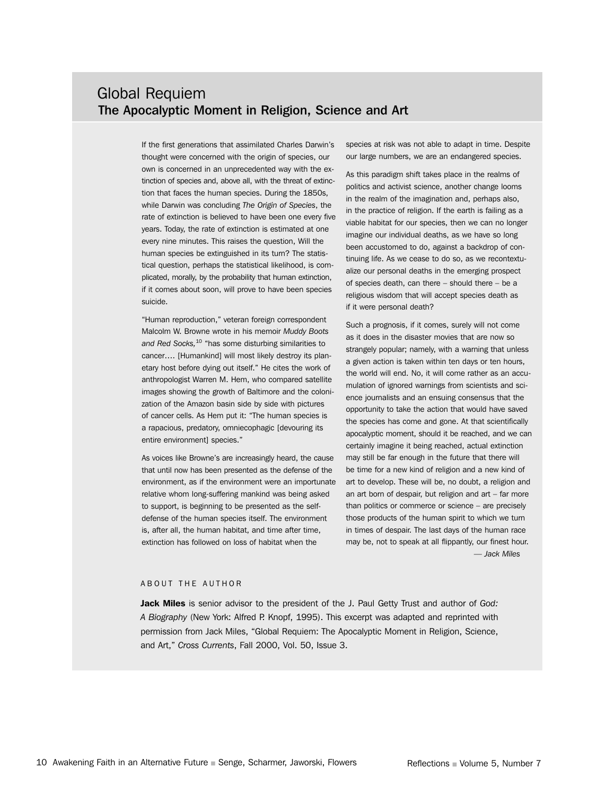# Global Requiem The Apocalyptic Moment in Religion, Science and Art

If the first generations that assimilated Charles Darwin's thought were concerned with the origin of species, our own is concerned in an unprecedented way with the extinction of species and, above all, with the threat of extinction that faces the human species. During the 1850s, while Darwin was concluding *The Origin of Species*, the rate of extinction is believed to have been one every five years. Today, the rate of extinction is estimated at one every nine minutes. This raises the question, Will the human species be extinguished in its turn? The statistical question, perhaps the statistical likelihood, is complicated, morally, by the probability that human extinction, if it comes about soon, will prove to have been species suicide.

"Human reproduction," veteran foreign correspondent Malcolm W. Browne wrote in his memoir *Muddy Boots and Red Socks,*10 "has some disturbing similarities to cancer…. [Humankind] will most likely destroy its planetary host before dying out itself." He cites the work of anthropologist Warren M. Hem, who compared satellite images showing the growth of Baltimore and the colonization of the Amazon basin side by side with pictures of cancer cells. As Hem put it: "The human species is a rapacious, predatory, omniecophagic [devouring its entire environment] species."

As voices like Browne's are increasingly heard, the cause that until now has been presented as the defense of the environment, as if the environment were an importunate relative whom long-suffering mankind was being asked to support, is beginning to be presented as the selfdefense of the human species itself. The environment is, after all, the human habitat, and time after time, extinction has followed on loss of habitat when the

species at risk was not able to adapt in time. Despite our large numbers, we are an endangered species.

As this paradigm shift takes place in the realms of politics and activist science, another change looms in the realm of the imagination and, perhaps also, in the practice of religion. If the earth is failing as a viable habitat for our species, then we can no longer imagine our individual deaths, as we have so long been accustomed to do, against a backdrop of continuing life. As we cease to do so, as we recontextualize our personal deaths in the emerging prospect of species death, can there – should there – be a religious wisdom that will accept species death as if it were personal death?

Such a prognosis, if it comes, surely will not come as it does in the disaster movies that are now so strangely popular; namely, with a warning that unless a given action is taken within ten days or ten hours, the world will end. No, it will come rather as an accumulation of ignored warnings from scientists and science journalists and an ensuing consensus that the opportunity to take the action that would have saved the species has come and gone. At that scientifically apocalyptic moment, should it be reached, and we can certainly imagine it being reached, actual extinction may still be far enough in the future that there will be time for a new kind of religion and a new kind of art to develop. These will be, no doubt, a religion and an art born of despair, but religion and art – far more than politics or commerce or science – are precisely those products of the human spirit to which we turn in times of despair. The last days of the human race may be, not to speak at all flippantly, our finest hour. *— Jack Miles*

### A B O U T THE AUTHOR

Jack Miles is senior advisor to the president of the J. Paul Getty Trust and author of *God: A Biography* (New York: Alfred P. Knopf, 1995). This excerpt was adapted and reprinted with permission from Jack Miles, "Global Requiem: The Apocalyptic Moment in Religion, Science, and Art," *Cross Currents*, Fall 2000, Vol. 50, Issue 3.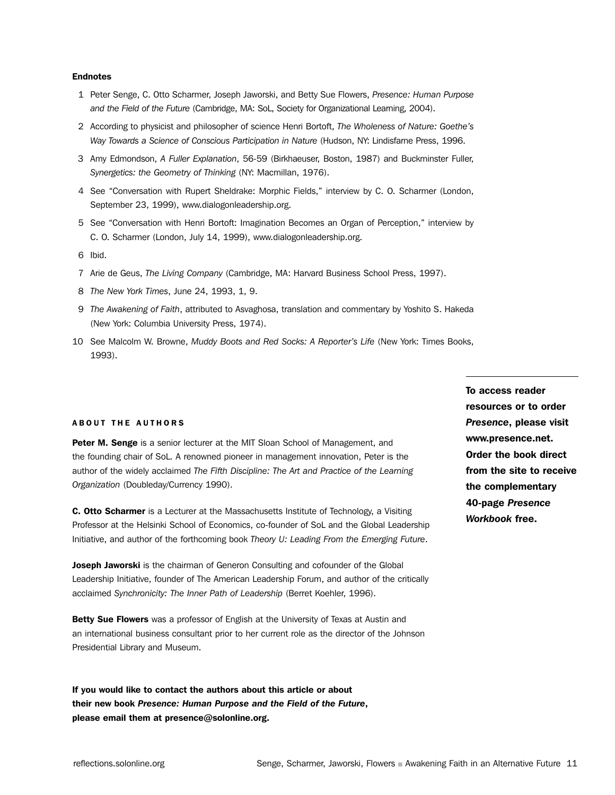### Endnotes

- 1 Peter Senge, C. Otto Scharmer, Joseph Jaworski, and Betty Sue Flowers, *Presence: Human Purpose and the Field of the Future* (Cambridge, MA: SoL, Society for Organizational Learning, 2004).
- 2 According to physicist and philosopher of science Henri Bortoft, *The Wholeness of Nature: Goethe's Way Towards a Science of Conscious Participation in Nature* (Hudson, NY: Lindisfarne Press, 1996.
- 3 Amy Edmondson, *A Fuller Explanation*, 56-59 (Birkhaeuser, Boston, 1987) and Buckminster Fuller, *Synergetics: the Geometry of Thinking* (NY: Macmillan, 1976).
- 4 See "Conversation with Rupert Sheldrake: Morphic Fields," interview by C. O. Scharmer (London, September 23, 1999), www.dialogonleadership.org.
- 5 See "Conversation with Henri Bortoft: Imagination Becomes an Organ of Perception," interview by C. O. Scharmer (London, July 14, 1999), www.dialogonleadership.org.
- 6 Ibid.
- 7 Arie de Geus, *The Living Company* (Cambridge, MA: Harvard Business School Press, 1997).
- 8 *The New York Times*, June 24, 1993, 1, 9.
- 9 *The Awakening of Faith*, attributed to Asvaghosa, translation and commentary by Yoshito S. Hakeda (New York: Columbia University Press, 1974).
- 10 See Malcolm W. Browne, *Muddy Boots and Red Socks: A Reporter's Life* (New York: Times Books, 1993).

### **ABOUT THE AUTHORS**

Peter M. Senge is a senior lecturer at the MIT Sloan School of Management, and the founding chair of SoL. A renowned pioneer in management innovation, Peter is the author of the widely acclaimed *The Fifth Discipline: The Art and Practice of the Learning Organization* (Doubleday/Currency 1990).

**C. Otto Scharmer** is a Lecturer at the Massachusetts Institute of Technology, a Visiting Professor at the Helsinki School of Economics, co-founder of SoL and the Global Leadership Initiative, and author of the forthcoming book *Theory U: Leading From the Emerging Future*.

**Joseph Jaworski** is the chairman of Generon Consulting and cofounder of the Global Leadership Initiative, founder of The American Leadership Forum, and author of the critically acclaimed *Synchronicity: The Inner Path of Leadership* (Berret Koehler, 1996).

**Betty Sue Flowers** was a professor of English at the University of Texas at Austin and an international business consultant prior to her current role as the director of the Johnson Presidential Library and Museum.

If you would like to contact the authors about this article or about their new book *Presence: Human Purpose and the Field of the Future*, please email them at presence@solonline.org.

To access reader resources or to order *Presence*, please visit www.presence.net. Order the book direct from the site to receive the complementary 40-page *Presence Workbook* free.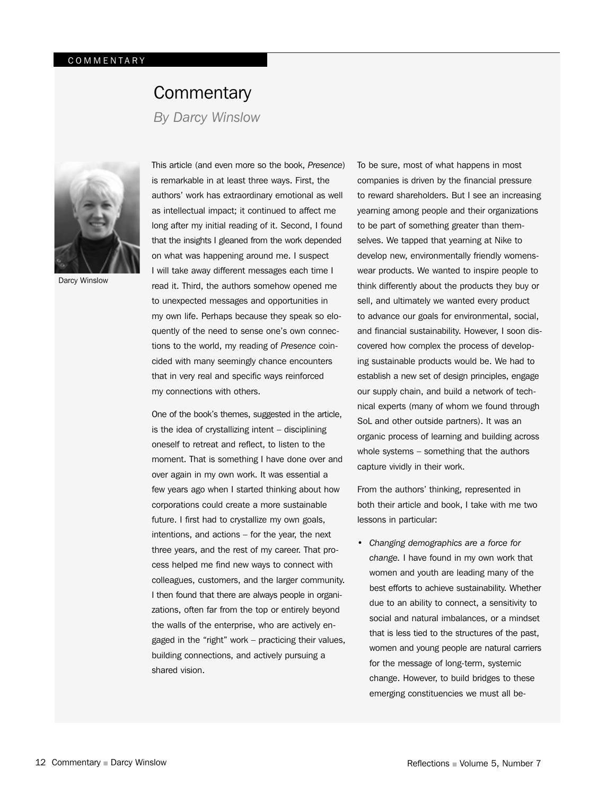# **Commentary**

*By Darcy Winslow*



Darcy Winslow

This article (and even more so the book, *Presence*) is remarkable in at least three ways. First, the authors' work has extraordinary emotional as well as intellectual impact; it continued to affect me long after my initial reading of it. Second, I found that the insights I gleaned from the work depended on what was happening around me. I suspect I will take away different messages each time I read it. Third, the authors somehow opened me to unexpected messages and opportunities in my own life. Perhaps because they speak so eloquently of the need to sense one's own connections to the world, my reading of *Presence* coincided with many seemingly chance encounters that in very real and specific ways reinforced my connections with others.

One of the book's themes, suggested in the article, is the idea of crystallizing intent – disciplining oneself to retreat and reflect, to listen to the moment. That is something I have done over and over again in my own work. It was essential a few years ago when I started thinking about how corporations could create a more sustainable future. I first had to crystallize my own goals, intentions, and actions – for the year, the next three years, and the rest of my career. That process helped me find new ways to connect with colleagues, customers, and the larger community. I then found that there are always people in organizations, often far from the top or entirely beyond the walls of the enterprise, who are actively engaged in the "right" work – practicing their values, building connections, and actively pursuing a shared vision.

To be sure, most of what happens in most companies is driven by the financial pressure to reward shareholders. But I see an increasing yearning among people and their organizations to be part of something greater than themselves. We tapped that yearning at Nike to develop new, environmentally friendly womenswear products. We wanted to inspire people to think differently about the products they buy or sell, and ultimately we wanted every product to advance our goals for environmental, social, and financial sustainability. However, I soon discovered how complex the process of developing sustainable products would be. We had to establish a new set of design principles, engage our supply chain, and build a network of technical experts (many of whom we found through SoL and other outside partners). It was an organic process of learning and building across whole systems – something that the authors capture vividly in their work.

From the authors' thinking, represented in both their article and book, I take with me two lessons in particular:

*• Changing demographics are a force for change.* I have found in my own work that women and youth are leading many of the best efforts to achieve sustainability. Whether due to an ability to connect, a sensitivity to social and natural imbalances, or a mindset that is less tied to the structures of the past, women and young people are natural carriers for the message of long-term, systemic change. However, to build bridges to these emerging constituencies we must all be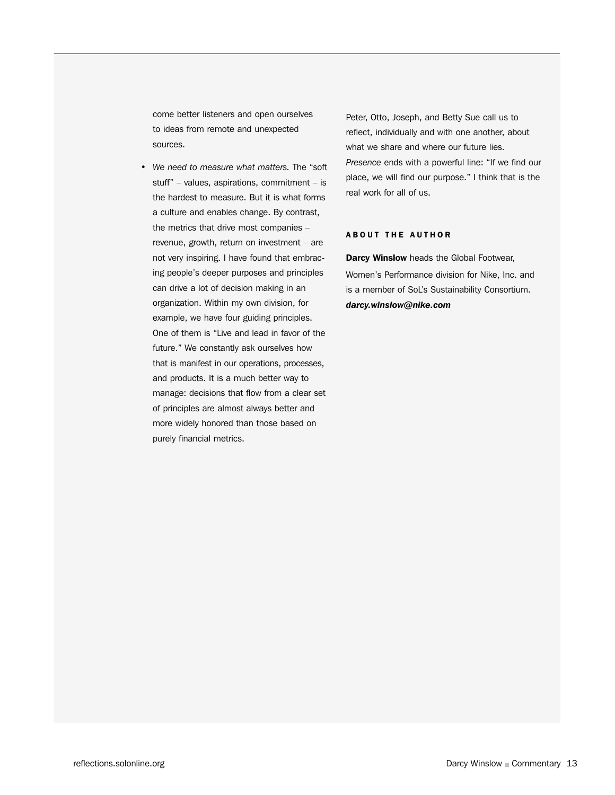come better listeners and open ourselves to ideas from remote and unexpected sources.

*• We need to measure what matters.* The "soft stuff" – values, aspirations, commitment – is the hardest to measure. But it is what forms a culture and enables change. By contrast, the metrics that drive most companies – revenue, growth, return on investment – are not very inspiring. I have found that embracing people's deeper purposes and principles can drive a lot of decision making in an organization. Within my own division, for example, we have four guiding principles. One of them is "Live and lead in favor of the future." We constantly ask ourselves how that is manifest in our operations, processes, and products. It is a much better way to manage: decisions that flow from a clear set of principles are almost always better and more widely honored than those based on purely financial metrics.

Peter, Otto, Joseph, and Betty Sue call us to reflect, individually and with one another, about what we share and where our future lies. *Presence* ends with a powerful line: "If we find our place, we will find our purpose." I think that is the real work for all of us.

### **ABOUT THE AUTHOR**

Darcy Winslow heads the Global Footwear, Women's Performance division for Nike, Inc. and is a member of SoL's Sustainability Consortium. *darcy.winslow@nike.com*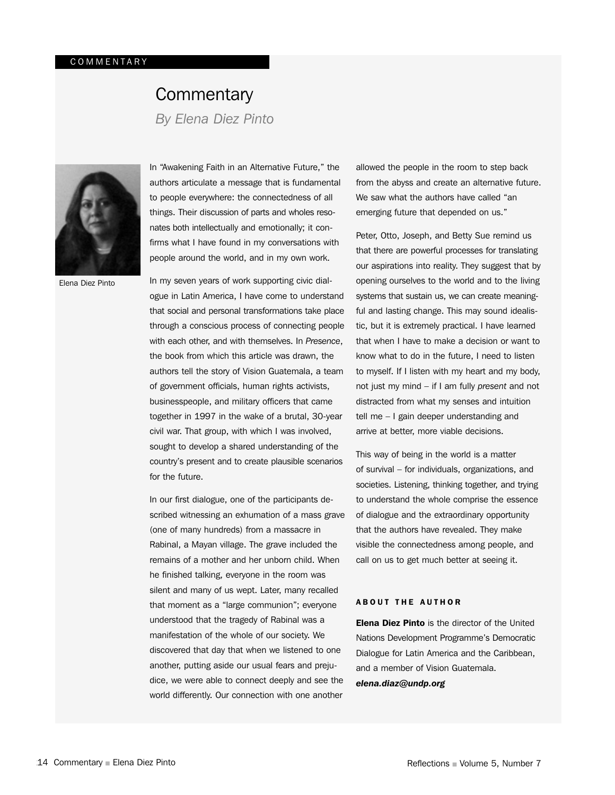# **Commentary** *By Elena Diez Pinto*

authors articulate a message that is fundamental to people everywhere: the connectedness of all things. Their discussion of parts and wholes resonates both intellectually and emotionally; it confirms what I have found in my conversations with people around the world, and in my own work.

In "Awakening Faith in an Alternative Future," the

Elena Diez Pinto

In my seven years of work supporting civic dialogue in Latin America, I have come to understand that social and personal transformations take place through a conscious process of connecting people with each other, and with themselves. In *Presence*, the book from which this article was drawn, the authors tell the story of Vision Guatemala, a team of government officials, human rights activists, businesspeople, and military officers that came together in 1997 in the wake of a brutal, 30-year civil war. That group, with which I was involved, sought to develop a shared understanding of the country's present and to create plausible scenarios for the future.

In our first dialogue, one of the participants described witnessing an exhumation of a mass grave (one of many hundreds) from a massacre in Rabinal, a Mayan village. The grave included the remains of a mother and her unborn child. When he finished talking, everyone in the room was silent and many of us wept. Later, many recalled that moment as a "large communion"; everyone understood that the tragedy of Rabinal was a manifestation of the whole of our society. We discovered that day that when we listened to one another, putting aside our usual fears and prejudice, we were able to connect deeply and see the world differently. Our connection with one another

allowed the people in the room to step back from the abyss and create an alternative future. We saw what the authors have called "an emerging future that depended on us."

Peter, Otto, Joseph, and Betty Sue remind us that there are powerful processes for translating our aspirations into reality. They suggest that by opening ourselves to the world and to the living systems that sustain us, we can create meaningful and lasting change. This may sound idealistic, but it is extremely practical. I have learned that when I have to make a decision or want to know what to do in the future, I need to listen to myself. If I listen with my heart and my body, not just my mind – if I am fully *present* and not distracted from what my senses and intuition tell me – I gain deeper understanding and arrive at better, more viable decisions.

This way of being in the world is a matter of survival – for individuals, organizations, and societies. Listening, thinking together, and trying to understand the whole comprise the essence of dialogue and the extraordinary opportunity that the authors have revealed. They make visible the connectedness among people, and call on us to get much better at seeing it.

### **ABOUT THE AUTHOR**

**Elena Diez Pinto** is the director of the United Nations Development Programme's Democratic Dialogue for Latin America and the Caribbean, and a member of Vision Guatemala.

*elena.diaz@undp.org*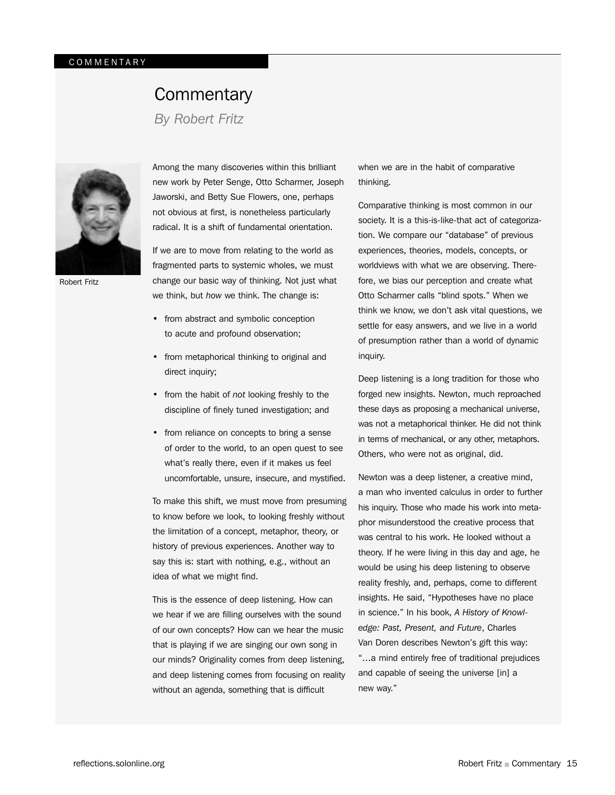# **Commentary**

*By Robert Fritz*



Among the many discoveries within this brilliant new work by Peter Senge, Otto Scharmer, Joseph Jaworski, and Betty Sue Flowers, one, perhaps not obvious at first, is nonetheless particularly radical. It is a shift of fundamental orientation.

If we are to move from relating to the world as fragmented parts to systemic wholes, we must change our basic way of thinking. Not just what we think, but *how* we think. The change is:

- from abstract and symbolic conception to acute and profound observation;
- from metaphorical thinking to original and direct inquiry;
- from the habit of *not* looking freshly to the discipline of finely tuned investigation; and
- from reliance on concepts to bring a sense of order to the world, to an open quest to see what's really there, even if it makes us feel uncomfortable, unsure, insecure, and mystified.

To make this shift, we must move from presuming to know before we look, to looking freshly without the limitation of a concept, metaphor, theory, or history of previous experiences. Another way to say this is: start with nothing, e.g., without an idea of what we might find.

This is the essence of deep listening. How can we hear if we are filling ourselves with the sound of our own concepts? How can we hear the music that is playing if we are singing our own song in our minds? Originality comes from deep listening, and deep listening comes from focusing on reality without an agenda, something that is difficult

when we are in the habit of comparative thinking.

Comparative thinking is most common in our society. It is a this-is-like-that act of categorization. We compare our "database" of previous experiences, theories, models, concepts, or worldviews with what we are observing. Therefore, we bias our perception and create what Otto Scharmer calls "blind spots." When we think we know, we don't ask vital questions, we settle for easy answers, and we live in a world of presumption rather than a world of dynamic inquiry.

Deep listening is a long tradition for those who forged new insights. Newton, much reproached these days as proposing a mechanical universe, was not a metaphorical thinker. He did not think in terms of mechanical, or any other, metaphors. Others, who were not as original, did.

Newton was a deep listener, a creative mind, a man who invented calculus in order to further his inquiry. Those who made his work into metaphor misunderstood the creative process that was central to his work. He looked without a theory. If he were living in this day and age, he would be using his deep listening to observe reality freshly, and, perhaps, come to different insights. He said, "Hypotheses have no place in science." In his book, *A History of Knowledge: Past, Present, and Future*, Charles Van Doren describes Newton's gift this way: "…a mind entirely free of traditional prejudices and capable of seeing the universe [in] a new way." Robert Fritz<br>
one plints, but loov we think. The change is calculated and constraint and change with the state of persons and the form of constraint and the matter of the matter of the matter of the matter of the matter o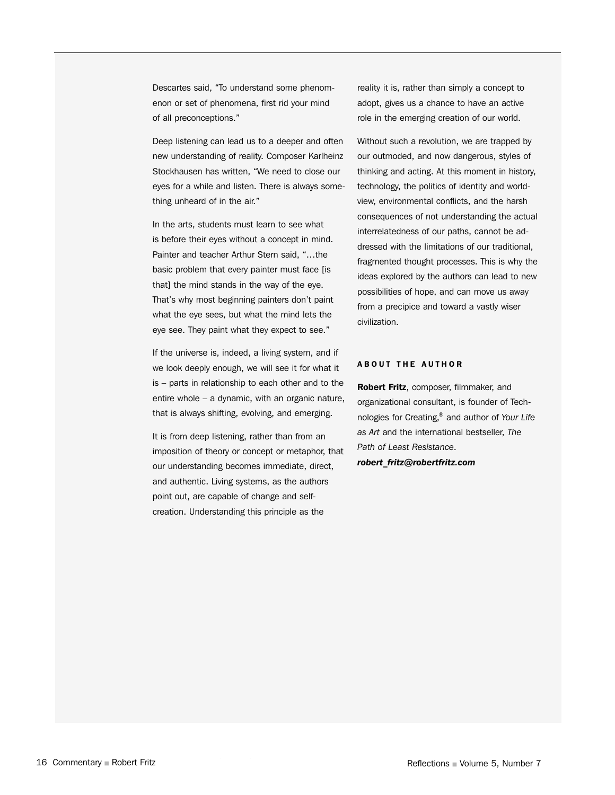Descartes said, "To understand some phenomenon or set of phenomena, first rid your mind of all preconceptions."

Deep listening can lead us to a deeper and often new understanding of reality. Composer Karlheinz Stockhausen has written, "We need to close our eyes for a while and listen. There is always something unheard of in the air."

In the arts, students must learn to see what is before their eyes without a concept in mind. Painter and teacher Arthur Stern said, "…the basic problem that every painter must face [is that] the mind stands in the way of the eye. That's why most beginning painters don't paint what the eye sees, but what the mind lets the eye see. They paint what they expect to see."

If the universe is, indeed, a living system, and if we look deeply enough, we will see it for what it is – parts in relationship to each other and to the entire whole – a dynamic, with an organic nature, that is always shifting, evolving, and emerging.

It is from deep listening, rather than from an imposition of theory or concept or metaphor, that our understanding becomes immediate, direct, and authentic. Living systems, as the authors point out, are capable of change and selfcreation. Understanding this principle as the

reality it is, rather than simply a concept to adopt, gives us a chance to have an active role in the emerging creation of our world.

Without such a revolution, we are trapped by our outmoded, and now dangerous, styles of thinking and acting. At this moment in history, technology, the politics of identity and worldview, environmental conflicts, and the harsh consequences of not understanding the actual interrelatedness of our paths, cannot be addressed with the limitations of our traditional, fragmented thought processes. This is why the ideas explored by the authors can lead to new possibilities of hope, and can move us away from a precipice and toward a vastly wiser civilization.

### **ABOUT THE AUTHOR**

Robert Fritz, composer, filmmaker, and organizational consultant, is founder of Technologies for Creating,® and author of *Your Life as Art* and the international bestseller, *The Path of Least Resistance*. *robert\_fritz@robertfritz.com*